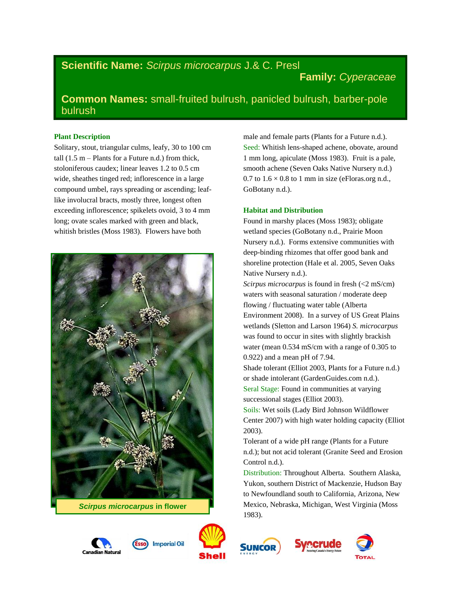# **Scientific Name:** *Scirpus microcarpus* J.& C. Presl

# **Family:** *Cyperaceae*

# **Common Names:** small-fruited bulrush, panicled bulrush, barber-pole bulrush

### **Plant Description**

Solitary, stout, triangular culms, leafy, 30 to 100 cm tall  $(1.5 \text{ m} - \text{Plants}$  for a Future n.d.) from thick, stoloniferous caudex; linear leaves 1.2 to 0.5 cm wide, sheathes tinged red; inflorescence in a large compound umbel, rays spreading or ascending; leaflike involucral bracts, mostly three, longest often exceeding inflorescence; spikelets ovoid, 3 to 4 mm long; ovate scales marked with green and black, whitish bristles (Moss 1983). Flowers have both



*Scirpus microcarpus* **in flower**





male and female parts (Plants for a Future n.d.). Seed: Whitish lens-shaped achene, obovate, around 1 mm long, apiculate (Moss 1983). Fruit is a pale, smooth achene (Seven Oaks Native Nursery n.d.) 0.7 to  $1.6 \times 0.8$  to 1 mm in size (eFloras.org n.d., GoBotany n.d.).

## **Habitat and Distribution**

Found in marshy places (Moss 1983); obligate wetland species (GoBotany n.d., Prairie Moon Nursery n.d.). Forms extensive communities with deep-binding rhizomes that offer good bank and shoreline protection (Hale et al. 2005, Seven Oaks Native Nursery n.d.).

*Scirpus microcarpus* is found in fresh (<2 mS/cm) waters with seasonal saturation / moderate deep flowing / fluctuating water table (Alberta Environment 2008). In a survey of US Great Plains wetlands (Sletton and Larson 1964) *S. microcarpus* was found to occur in sites with slightly brackish water (mean 0.534 mS/cm with a range of 0.305 to 0.922) and a mean pH of 7.94.

Shade tolerant (Elliot 2003, Plants for a Future n.d.) or shade intolerant (GardenGuides.com n.d.). Seral Stage: Found in communities at varying

successional stages (Elliot 2003). Soils: Wet soils (Lady Bird Johnson Wildflower Center 2007) with high water holding capacity (Elliot 2003).

Tolerant of a wide pH range (Plants for a Future n.d.); but not acid tolerant (Granite Seed and Erosion Control n.d.).

Distribution: Throughout Alberta. Southern Alaska, Yukon, southern District of Mackenzie, Hudson Bay to Newfoundland south to California, Arizona, New Mexico, Nebraska, Michigan, West Virginia (Moss 1983).





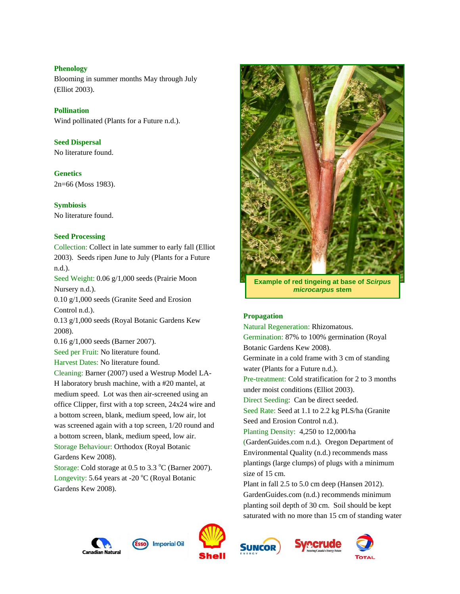## **Phenology**

Blooming in summer months May through July (Elliot 2003).

## **Pollination**

Wind pollinated (Plants for a Future n.d.).

**Seed Dispersal** No literature found.

**Genetics** 2n=66 (Moss 1983).

**Symbiosis** No literature found.

## **Seed Processing**

Collection: Collect in late summer to early fall (Elliot 2003). Seeds ripen June to July (Plants for a Future n.d.).

Seed Weight: 0.06 g/1,000 seeds (Prairie Moon Nursery n.d.).

0.10 g/1,000 seeds (Granite Seed and Erosion Control n.d.).

0.13 g/1,000 seeds (Royal Botanic Gardens Kew 2008).

0.16 g/1,000 seeds (Barner 2007).

Seed per Fruit: No literature found.

Harvest Dates: No literature found.

Cleaning: Barner (2007) used a Westrup Model LA-H laboratory brush machine, with a #20 mantel, at medium speed. Lot was then air-screened using an office Clipper, first with a top screen, 24x24 wire and a bottom screen, blank, medium speed, low air, lot was screened again with a top screen, 1/20 round and a bottom screen, blank, medium speed, low air. Storage Behaviour: Orthodox (Royal Botanic Gardens Kew 2008).

Storage: Cold storage at  $0.5$  to  $3.3$  °C (Barner 2007). Longevity: 5.64 years at -20  $^{\circ}$ C (Royal Botanic Gardens Kew 2008).



**Example of red tingeing at base of** *Scirpus microcarpus* **stem**

## **Propagation**

Natural Regeneration: Rhizomatous. Germination: 87% to 100% germination (Royal Botanic Gardens Kew 2008). Germinate in a cold frame with 3 cm of standing water (Plants for a Future n.d.). Pre-treatment: Cold stratification for 2 to 3 months under moist conditions (Elliot 2003). Direct Seeding: Can be direct seeded. Seed Rate: Seed at 1.1 to 2.2 kg PLS/ha (Granite Seed and Erosion Control n.d.). Planting Density: 4,250 to 12,000/ha (GardenGuides.com n.d.). Oregon Department of Environmental Quality (n.d.) recommends mass plantings (large clumps) of plugs with a minimum size of 15 cm. Plant in fall 2.5 to 5.0 cm deep (Hansen 2012). GardenGuides.com (n.d.) recommends minimum planting soil depth of 30 cm. Soil should be kept saturated with no more than 15 cm of standing water





**Imperial Oil** 





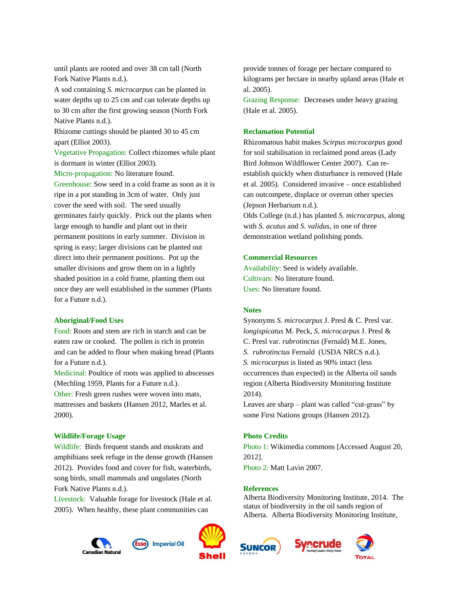until plants are rooted and over 38 cm tall (North Fork Native Plants n.d.).

A sod containing *S. microcarpus* can be planted in water depths up to 25 cm and can tolerate depths up to 30 cm after the first growing season (North Fork Native Plants n.d.).

Rhizome cuttings should be planted 30 to 45 cm apart (Elliot 2003).

Vegetative Propagation: Collect rhizomes while plant is dormant in winter (Elliot 2003).

Micro-propagation: No literature found.

Greenhouse: Sow seed in a cold frame as soon as it is ripe in a pot standing in 3cm of water. Only just cover the seed with soil. The seed usually germinates fairly quickly. Prick out the plants when large enough to handle and plant out in their permanent positions in early summer. Division in spring is easy; larger divisions can be planted out direct into their permanent positions. Pot up the smaller divisions and grow them on in a lightly shaded position in a cold frame, planting them out once they are well established in the summer (Plants for a Future n.d.).

#### **Aboriginal/Food Uses**

Food: Roots and stem are rich in starch and can be eaten raw or cooked. The pollen is rich in protein and can be added to flour when making bread (Plants for a Future n.d.).

Medicinal: Poultice of roots was applied to abscesses (Mechling 1959, Plants for a Future n.d.).

Other: Fresh green rushes were woven into mats, mattresses and baskets (Hansen 2012, Marles et al. 2000).

#### **Wildlife/Forage Usage**

Wildlife: Birds frequent stands and muskrats and amphibians seek refuge in the dense growth (Hansen 2012). Provides food and cover for fish, waterbirds, song birds, small mammals and ungulates (North Fork Native Plants n.d.).

Livestock: Valuable forage for livestock (Hale et al. 2005). When healthy, these plant communities can

**Imperial Oil** 



provide tonnes of forage per hectare compared to kilograms per hectare in nearby upland areas (Hale et al. 2005).

Grazing Response: Decreases under heavy grazing (Hale et al. 2005).

### **Reclamation Potential**

Rhizomatous habit makes *Scirpus microcarpus* good for soil stabilisation in reclaimed pond areas (Lady Bird Johnson Wildflower Center 2007). Can reestablish quickly when disturbance is removed (Hale et al. 2005). Considered invasive – once established can outcompete, displace or overrun other species (Jepson Herbarium n.d.).

Olds College (n.d.) has planted *S. microcarpus*, along with *S. acutus* and *S. validus*, in one of three demonstration wetland polishing ponds.

#### **Commercial Resources**

Availability: Seed is widely available. Cultivars: No literature found. Uses: No literature found.

#### **Notes**

Synonyms *S. microcarpus* J. Presl & C. Presl var. *longispicatus* M. Peck, *S. microcarpus* J. Presl & C. Presl var. *rubrotinctus* (Fernald) M.E. Jones, *S. rubrotinctus* Fernald (USDA NRCS n.d.). *S. microcarpus* is listed as 90% intact (less occurrences than expected) in the Alberta oil sands region (Alberta Biodiversity Monitoring Institute 2014).

Leaves are sharp – plant was called "cut-grass" by some First Nations groups (Hansen 2012).

### **Photo Credits**

Photo 1: Wikimedia commons [Accessed August 20, 2012].

Photo 2: Matt Lavin 2007.

#### **References**

Alberta Biodiversity Monitoring Institute, 2014. The status of biodiversity in the oil sands region of Alberta. Alberta Biodiversity Monitoring Institute,





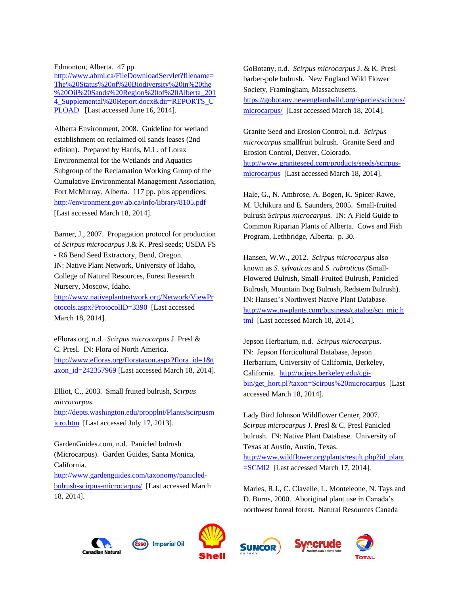Edmonton, Alberta. 47 pp.

[http://www.abmi.ca/FileDownloadServlet?filename=](http://www.abmi.ca/FileDownloadServlet?filename=The%20Status%20of%20Biodiversity%20in%20the%20Oil%20Sands%20Region%20of%20Alberta_2014_Supplemental%20Report.docx&dir=REPORTS_UPLOAD) [The%20Status%20of%20Biodiversity%20in%20the](http://www.abmi.ca/FileDownloadServlet?filename=The%20Status%20of%20Biodiversity%20in%20the%20Oil%20Sands%20Region%20of%20Alberta_2014_Supplemental%20Report.docx&dir=REPORTS_UPLOAD) [%20Oil%20Sands%20Region%20of%20Alberta\\_201](http://www.abmi.ca/FileDownloadServlet?filename=The%20Status%20of%20Biodiversity%20in%20the%20Oil%20Sands%20Region%20of%20Alberta_2014_Supplemental%20Report.docx&dir=REPORTS_UPLOAD) [4\\_Supplemental%20Report.docx&dir=REPORTS\\_U](http://www.abmi.ca/FileDownloadServlet?filename=The%20Status%20of%20Biodiversity%20in%20the%20Oil%20Sands%20Region%20of%20Alberta_2014_Supplemental%20Report.docx&dir=REPORTS_UPLOAD) [PLOAD](http://www.abmi.ca/FileDownloadServlet?filename=The%20Status%20of%20Biodiversity%20in%20the%20Oil%20Sands%20Region%20of%20Alberta_2014_Supplemental%20Report.docx&dir=REPORTS_UPLOAD) [Last accessed June 16, 2014].

Alberta Environment, 2008. Guideline for wetland establishment on reclaimed oil sands leases (2nd edition). Prepared by Harris, M.L. of Lorax Environmental for the Wetlands and Aquatics Subgroup of the Reclamation Working Group of the Cumulative Environmental Management Association, Fort McMurray, Alberta. 117 pp. plus appendices. <http://environment.gov.ab.ca/info/library/8105.pdf> [Last accessed March 18, 2014].

Barner, J., 2007. Propagation protocol for production of *Scirpus microcarpus* J.& K. Presl seeds; USDA FS - R6 Bend Seed Extractory, Bend, Oregon. IN: Native Plant Network, University of Idaho, College of Natural Resources, Forest Research Nursery, Moscow, Idaho. [http://www.nativeplantnetwork.org/Network/ViewPr](http://www.nativeplantnetwork.org/Network/ViewProtocols.aspx?ProtocolID=3390) [otocols.aspx?ProtocolID=3390](http://www.nativeplantnetwork.org/Network/ViewProtocols.aspx?ProtocolID=3390) [Last accessed March 18, 2014].

eFloras.org, n.d. *Scirpus microcarpus* J. Presl & C. Presl. IN: Flora of North America. [http://www.efloras.org/florataxon.aspx?flora\\_id=1&t](http://www.efloras.org/florataxon.aspx?flora_id=1&taxon_id=242357969) [axon\\_id=242357969](http://www.efloras.org/florataxon.aspx?flora_id=1&taxon_id=242357969) [Last accessed March 18, 2014].

Elliot, C., 2003. Small fruited bulrush, *Scirpus microcarpus*.

[http://depts.washington.edu/propplnt/Plants/scirpusm](http://depts.washington.edu/propplnt/Plants/scirpusmicro.htm) [icro.htm](http://depts.washington.edu/propplnt/Plants/scirpusmicro.htm) [Last accessed July 17, 2013].

GardenGuides.com, n.d. Panicled bulrush (Microcarpus). Garden Guides, Santa Monica, California.

[http://www.gardenguides.com/taxonomy/panicled](http://www.gardenguides.com/taxonomy/panicled-bulrush-scirpus-microcarpus/)[bulrush-scirpus-microcarpus/](http://www.gardenguides.com/taxonomy/panicled-bulrush-scirpus-microcarpus/) [Last accessed March 18, 2014].

**Feen** 

GoBotany, n.d. *Scirpus microcarpus* J. & K. Presl barber-pole bulrush. New England Wild Flower Society, Framingham, Massachusetts. [https://gobotany.newenglandwild.org/species/scirpus/](https://gobotany.newenglandwild.org/species/scirpus/microcarpus/) [microcarpus/](https://gobotany.newenglandwild.org/species/scirpus/microcarpus/) [Last accessed March 18, 2014].

Granite Seed and Erosion Control, n.d. *Scirpus microcarpus* smallfruit bulrush. Granite Seed and Erosion Control, Denver, Colorado. [http://www.graniteseed.com/products/seeds/scirpus](http://www.graniteseed.com/products/seeds/scirpus-microcarpus)[microcarpus](http://www.graniteseed.com/products/seeds/scirpus-microcarpus) [Last accessed March 18, 2014].

Hale, G., N. Ambrose, A. Bogen, K. Spicer-Rawe, M. Uchikura and E. Saunders, 2005. Small-fruited bulrush *Scirpus microcarpus*. IN: A Field Guide to Common Riparian Plants of Alberta. Cows and Fish Program, Lethbridge, Alberta. p. 30.

Hansen, W.W., 2012. *Scirpus microcarpus* also known as *S. sylvaticus* and *S. rubroticus* (Small-Flowered Bulrush, Small-Fruited Bulrush, Panicled Bulrush, Mountain Bog Bulrush, Redstem Bulrush). IN: Hansen's Northwest Native Plant Database. [http://www.nwplants.com/business/catalog/sci\\_mic.h](http://www.nwplants.com/business/catalog/sci_mic.html) [tml](http://www.nwplants.com/business/catalog/sci_mic.html) [Last accessed March 18, 2014].

Jepson Herbarium, n.d. *Scirpus microcarpus*. IN: Jepson Horticultural Database, Jepson Herbarium, University of California, Berkeley, California. [http://ucjeps.berkeley.edu/cgi](http://ucjeps.berkeley.edu/cgi-bin/get_hort.pl?taxon=Scirpus%20microcarpus)[bin/get\\_hort.pl?taxon=Scirpus%20microcarpus](http://ucjeps.berkeley.edu/cgi-bin/get_hort.pl?taxon=Scirpus%20microcarpus) [Last accessed March 18, 2014].

Lady Bird Johnson Wildflower Center, 2007. *Scirpus microcarpus* J. Presl & C. Presl Panicled bulrush. IN: Native Plant Database. University of Texas at Austin, Austin, Texas. [http://www.wildflower.org/plants/result.php?id\\_plant](http://www.wildflower.org/plants/result.php?id_plant=SCMI2) [=SCMI2](http://www.wildflower.org/plants/result.php?id_plant=SCMI2) [Last accessed March 17, 2014].

Marles, R.J., C. Clavelle, L. Monteleone, N. Tays and D. Burns, 2000. Aboriginal plant use in Canada's northwest boreal forest. Natural Resources Canada